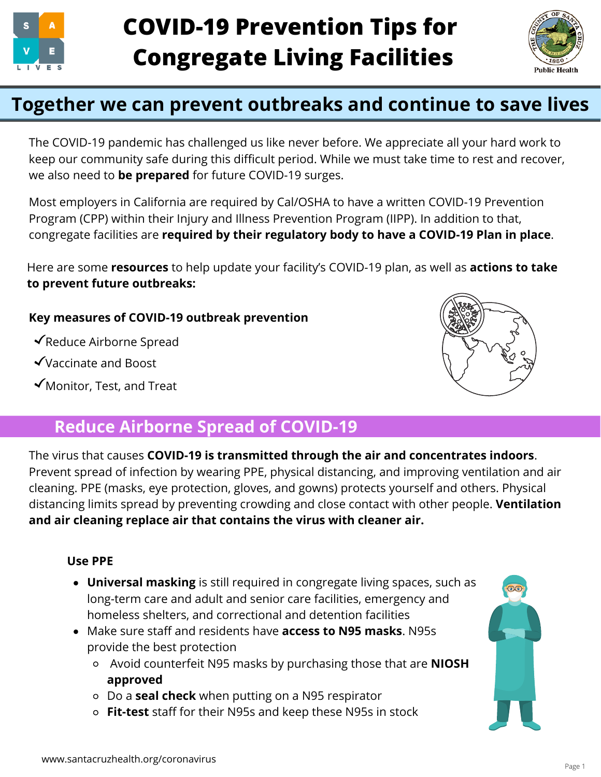



# **Together we can prevent outbreaks and continue to save lives**

The COVID-19 pandemic has challenged us like never before. We appreciate all your hard work to keep our community safe during this difficult period. While we must take time to rest and recover, we also need to **be prepared** for future COVID-19 surges.

Most employers in California are required by Cal/OSHA to have a written COVID-19 Prevention Program (CPP) within their Injury and Illness Prevention Program (IIPP). In addition to that, congregate facilities are **required by their regulatory body to have a COVID-19 Plan in place**.

Here are some **resources** to help update your facility's COVID-19 plan, as well as **actions to take to prevent future outbreaks:**

#### **Key measures of COVID-19 outbreak prevention**

- Reduce Airborne Spread
- Vaccinate and Boost
- Monitor, Test, and Treat



## **Reduce Airborne Spread of COVID-19**

The virus that causes **COVID-19 is transmitted through the air and concentrates indoors**. Prevent spread of infection by wearing PPE, physical distancing, and improving ventilation and air cleaning. PPE (masks, eye protection, gloves, and gowns) protects yourself and others. Physical distancing limits spread by preventing crowding and close contact with other people. **Ventilation and air cleaning replace air that contains the virus with cleaner air.**

#### **Use PPE**

- **Universal masking** is still required in congregate living spaces, such as long-term care and adult and senior care facilities, emergency and homeless shelters, and correctional and detention facilities
- Make sure staff and residents have **access to N95 masks**. N95s provide the best protection
	- Avoid counterfeit N95 masks by purchasing those that are **NIOSH approved**
	- Do a **seal check** when putting on a N95 respirator
	- **Fit-test** staff for their N95s and keep these N95s in stock

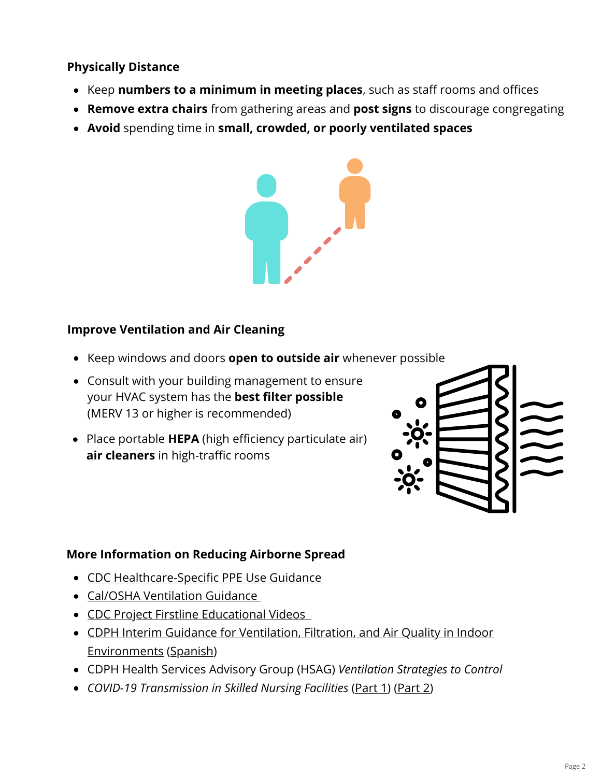#### **Physically Distance**

- Keep numbers to a minimum in meeting places, such as staff rooms and offices
- **Remove extra chairs** from gathering areas and **post signs** to discourage congregating
- **Avoid** spending time in **small, crowded, or poorly ventilated spaces**



#### **Improve Ventilation and Air Cleaning**

- Keep windows and doors **open to outside air** whenever possible
- Consult with your building management to ensure your HVAC system has the **best filter possible** (MERV 13 or higher is recommended)
- Place portable **HEPA** (high efficiency particulate air) **air cleaners** in high-traffic rooms



#### **More Information on Reducing Airborne Spread**

- [CDC Healthcare-Specific PPE Use Guidance](https://www.cdc.gov/niosh/emres/2019_ncov_ppe.html)
- [Cal/OSHA Ventilation Guidance](https://www.osha.gov/sites/default/files/publications/OSHA4103.pdf)
- **CDC Project Firstline Educational Videos**
- [CDPH Interim Guidance for Ventilation, Filtration, and Air Quality in Indoor](https://www.cdph.ca.gov/Programs/CID/DCDC/Pages/COVID-19/Interim-Guidance-for-Ventilation-Filtration-and-Air-Quality-in-Indoor-Environments.aspx) Environments ([Spanish\)](https://www.cdph.ca.gov/Programs/CID/DCDC/CDPH%20Document%20Library/COVID-19/Translations/Interim-Guidance-for-Ventilation-Filtration-and-Air-Quality-in-Indoor-Environments--es.pdf)
- CDPH Health Services Advisory Group (HSAG) *Ventilation Strategies to Control*
- *COVID-19 Transmission in Skilled Nursing Facilities* ([Part 1\)](https://www.hsag.com/globalassets/covid-19/ventbestpractices_20211006_508.pdf) [\(Part 2](https://www.hsag.com/globalassets/covid-19/vent2-isolationbm-508.pdf))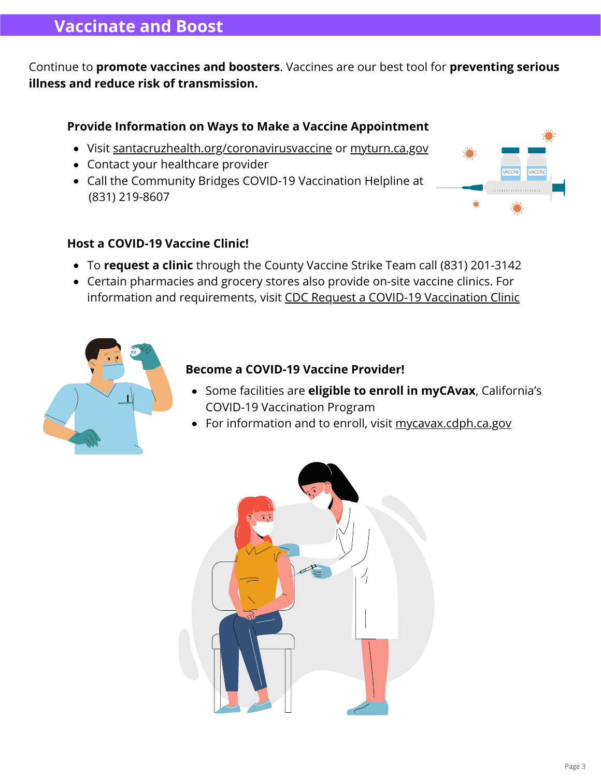### **Vaccinate and Boost**

Continue to **promote vaccines and boosters**. Vaccines are our best tool for **preventing serious illness and reduce risk of transmission.**

#### **Provide Information on Ways to Make a Vaccine Appointment**

- Visit [santacruzhealth.org/coronavirusvaccine](http://santacruzhealth.org/coronavirusvaccine) or [myturn.ca.gov](http://myturn.ca.gov/)
- Contact your healthcare provider
- Call the Community Bridges COVID-19 Vaccination Helpline at (831) 219-8607

#### **Host a COVID-19 Vaccine Clinic!**

- To **request a clinic** through the County Vaccine Strike Team call (831) 201-3142
- Certain pharmacies and grocery stores also provide on-site vaccine clinics. For information and requirements, visit [CDC Request a COVID-19 Vaccination Clinic](https://www.cdc.gov/vaccines/covid-19/retail-pharmacy-program/pharmacies-contact.html)



#### **Become a COVID-19 Vaccine Provider!**

- Some facilities are **eligible to enroll in myCAvax**, California's COVID-19 Vaccination Program
- For information and to enroll, visit [mycavax.cdph.ca.gov](http://mycavax.cdph.ca.gov/)

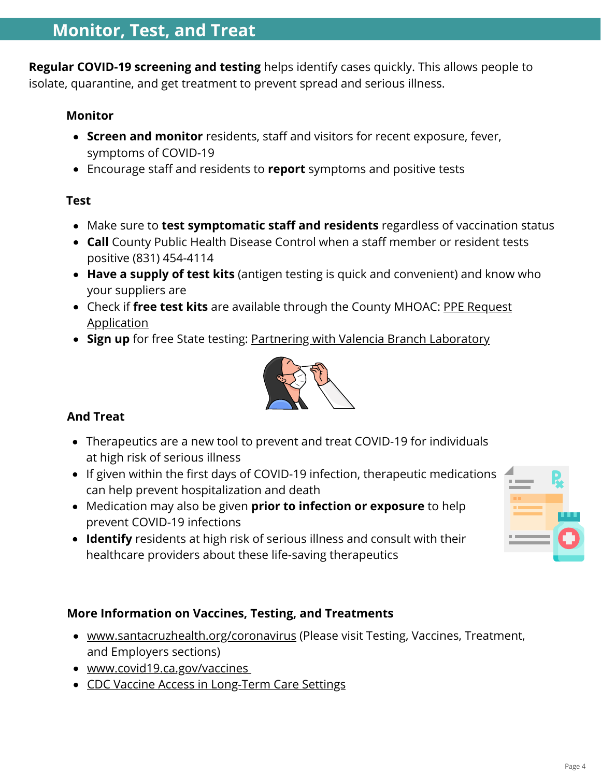**Regular COVID-19 screening and testing** helps identify cases quickly. This allows people to isolate, quarantine, and get treatment to prevent spread and serious illness.

#### **Monitor**

- **Screen and monitor** residents, staff and visitors for recent exposure, fever, symptoms of COVID-19
- Encourage staff and residents to **report** symptoms and positive tests

#### **Test**

- Make sure to **test symptomatic staff and residents** regardless of vaccination status
- **Call** County Public Health Disease Control when a staff member or resident tests positive (831) 454-4114
- **Have a supply of test kits** (antigen testing is quick and convenient) and know who your suppliers are
- Check if **free test kits** [are available through the County MHOAC: PPE Request](https://www.santacruzhealth.org/Portals/7/Pdfs/Coronavirus/PPERequest_DOC02.pdf?ver=202106) Application
- **Sign up** for free State testing: [Partnering with Valencia Branch Laboratory](https://calflca.org/resources/Documents/VBL%20Testing%20Site%20Outreach%20Flyer.pdf)



#### **And Treat**

- Therapeutics are a new tool to prevent and treat COVID-19 for individuals at high risk of serious illness
- If given within the first days of COVID-19 infection, therapeutic medications can help prevent hospitalization and death
- Medication may also be given **prior to infection or exposure** to help prevent COVID-19 infections
- **Identify** residents at high risk of serious illness and consult with their healthcare providers about these life-saving therapeutics

#### **More Information on Vaccines, Testing, and Treatments**

- [www.santacruzhealth.org/coronavirus](http://www.santacruzhealth.org/coronavirus) (Please visit Testing, Vaccines, Treatment, and Employers sections)
- [www.covid19.ca.gov/vaccines](http://www.covid19.ca.gov/vaccines)
- [CDC Vaccine Access in Long-Term Care Settings](https://www.cdc.gov/vaccines/covid-19/long-term-care/pharmacy-partnerships.html)

Page 4